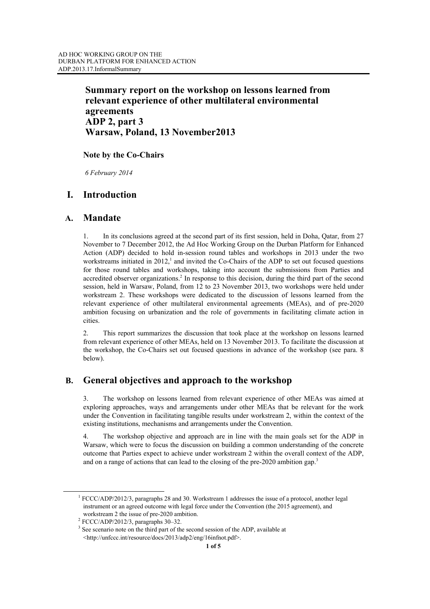## **Summary report on the workshop on lessons learned from relevant experience of other multilateral environmental agreements ADP 2, part 3 Warsaw, Poland, 13 November2013**

### **Note by the Co-Chairs**

 *6 February 2014* 

# **I. Introduction**

### **A. Mandate**

1. In its conclusions agreed at the second part of its first session, held in Doha, Qatar, from 27 November to 7 December 2012, the Ad Hoc Working Group on the Durban Platform for Enhanced Action (ADP) decided to hold in-session round tables and workshops in 2013 under the two workstreams initiated in  $2012<sub>1</sub><sup>1</sup>$  and invited the Co-Chairs of the ADP to set out focused questions for those round tables and workshops, taking into account the submissions from Parties and accredited observer organizations.<sup>2</sup> In response to this decision, during the third part of the second session, held in Warsaw, Poland, from 12 to 23 November 2013, two workshops were held under workstream 2. These workshops were dedicated to the discussion of lessons learned from the relevant experience of other multilateral environmental agreements (MEAs), and of pre-2020 ambition focusing on urbanization and the role of governments in facilitating climate action in cities.

2. This report summarizes the discussion that took place at the workshop on lessons learned from relevant experience of other MEAs, held on 13 November 2013. To facilitate the discussion at the workshop, the Co-Chairs set out focused questions in advance of the workshop (see para. 8 below).

## **B. General objectives and approach to the workshop**

3. The workshop on lessons learned from relevant experience of other MEAs was aimed at exploring approaches, ways and arrangements under other MEAs that be relevant for the work under the Convention in facilitating tangible results under workstream 2, within the context of the existing institutions, mechanisms and arrangements under the Convention.

4. The workshop objective and approach are in line with the main goals set for the ADP in Warsaw, which were to focus the discussion on building a common understanding of the concrete outcome that Parties expect to achieve under workstream 2 within the overall context of the ADP, and on a range of actions that can lead to the closing of the pre-2020 ambition gap.<sup>3</sup>

 $\frac{1}{1}$  FCCC/ADP/2012/3, paragraphs 28 and 30. Workstream 1 addresses the issue of a protocol, another legal instrument or an agreed outcome with legal force under the Convention (the 2015 agreement), and workstream 2 the issue of pre-2020 ambition.

 $2$  FCCC/ADP/2012/3, paragraphs 30-32.

<sup>&</sup>lt;sup>3</sup> See scenario note on the third part of the second session of the ADP, available at <http://unfccc.int/resource/docs/2013/adp2/eng/16infnot.pdf>.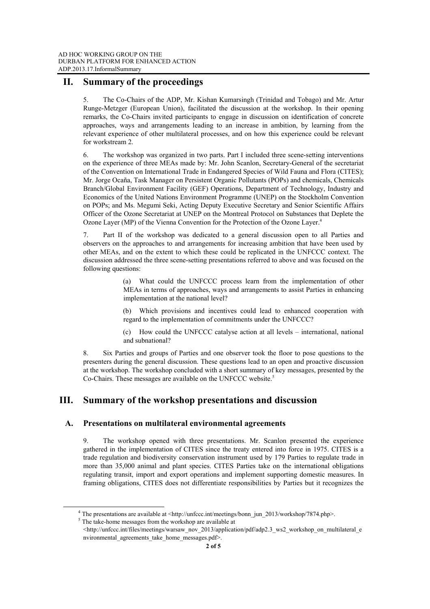### **II. Summary of the proceedings**

5. The Co-Chairs of the ADP, Mr. Kishan Kumarsingh (Trinidad and Tobago) and Mr. Artur Runge-Metzger (European Union), facilitated the discussion at the workshop. In their opening remarks, the Co-Chairs invited participants to engage in discussion on identification of concrete approaches, ways and arrangements leading to an increase in ambition, by learning from the relevant experience of other multilateral processes, and on how this experience could be relevant for workstream 2.

6. The workshop was organized in two parts. Part I included three scene-setting interventions on the experience of three MEAs made by: Mr. John Scanlon, Secretary-General of the secretariat of the Convention on International Trade in Endangered Species of Wild Fauna and Flora (CITES); Mr. Jorge Ocaña, Task Manager on Persistent Organic Pollutants (POPs) and chemicals, Chemicals Branch/Global Environment Facility (GEF) Operations, Department of Technology, Industry and Economics of the United Nations Environment Programme (UNEP) on the Stockholm Convention on POPs; and Ms. Megumi Seki, Acting Deputy Executive Secretary and Senior Scientific Affairs Officer of the Ozone Secretariat at UNEP on the Montreal Protocol on Substances that Deplete the Ozone Layer (MP) of the Vienna Convention for the Protection of the Ozone Layer.4

Part II of the workshop was dedicated to a general discussion open to all Parties and observers on the approaches to and arrangements for increasing ambition that have been used by other MEAs, and on the extent to which these could be replicated in the UNFCCC context. The discussion addressed the three scene-setting presentations referred to above and was focused on the following questions:

> (a) What could the UNFCCC process learn from the implementation of other MEAs in terms of approaches, ways and arrangements to assist Parties in enhancing implementation at the national level?

> (b) Which provisions and incentives could lead to enhanced cooperation with regard to the implementation of commitments under the UNFCCC?

> (c) How could the UNFCCC catalyse action at all levels – international, national and subnational?

8. Six Parties and groups of Parties and one observer took the floor to pose questions to the presenters during the general discussion. These questions lead to an open and proactive discussion at the workshop. The workshop concluded with a short summary of key messages, presented by the Co-Chairs. These messages are available on the UNFCCC website.<sup>5</sup>

# **III. Summary of the workshop presentations and discussion**

#### **A. Presentations on multilateral environmental agreements**

9. The workshop opened with three presentations. Mr. Scanlon presented the experience gathered in the implementation of CITES since the treaty entered into force in 1975. CITES is a trade regulation and biodiversity conservation instrument used by 179 Parties to regulate trade in more than 35,000 animal and plant species. CITES Parties take on the international obligations regulating transit, import and export operations and implement supporting domestic measures. In framing obligations, CITES does not differentiate responsibilities by Parties but it recognizes the

 $\overline{4}$ <sup>4</sup> The presentations are available at <http://unfccc.int/meetings/bonn\_jun\_2013/workshop/7874.php>.

 $5$  The take-home messages from the workshop are available at

 $\text{th}(t)$ ://unfccc.int/files/meetings/warsaw\_nov\_2013/application/pdf/adp2.3\_ws2\_workshop\_on\_multilateral\_e nvironmental agreements take home messages.pdf>.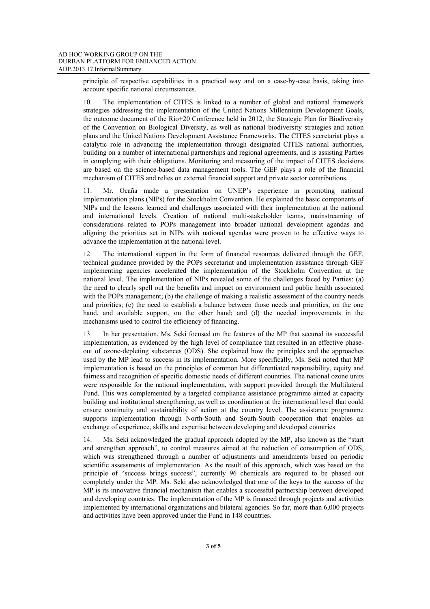principle of respective capabilities in a practical way and on a case-by-case basis, taking into account specific national circumstances.

10. The implementation of CITES is linked to a number of global and national framework strategies addressing the implementation of the United Nations Millennium Development Goals, the outcome document of the Rio+20 Conference held in 2012, the Strategic Plan for Biodiversity of the Convention on Biological Diversity, as well as national biodiversity strategies and action plans and the United Nations Development Assistance Frameworks. The CITES secretariat plays a catalytic role in advancing the implementation through designated CITES national authorities, building on a number of international partnerships and regional agreements, and is assisting Parties in complying with their obligations. Monitoring and measuring of the impact of CITES decisions are based on the science-based data management tools. The GEF plays a role of the financial mechanism of CITES and relies on external financial support and private sector contributions.

11. Mr. Ocaña made a presentation on UNEP's experience in promoting national implementation plans (NIPs) for the Stockholm Convention. He explained the basic components of NIPs and the lessons learned and challenges associated with their implementation at the national and international levels. Creation of national multi-stakeholder teams, mainstreaming of considerations related to POPs management into broader national development agendas and aligning the priorities set in NIPs with national agendas were proven to be effective ways to advance the implementation at the national level.

12. The international support in the form of financial resources delivered through the GEF, technical guidance provided by the POPs secretariat and implementation assistance through GEF implementing agencies accelerated the implementation of the Stockholm Convention at the national level. The implementation of NIPs revealed some of the challenges faced by Parties: (a) the need to clearly spell out the benefits and impact on environment and public health associated with the POPs management; (b) the challenge of making a realistic assessment of the country needs and priorities; (c) the need to establish a balance between those needs and priorities, on the one hand, and available support, on the other hand; and (d) the needed improvements in the mechanisms used to control the efficiency of financing.

13. In her presentation, Ms. Seki focused on the features of the MP that secured its successful implementation, as evidenced by the high level of compliance that resulted in an effective phaseout of ozone-depleting substances (ODS). She explained how the principles and the approaches used by the MP lead to success in its implementation. More specifically, Ms. Seki noted that MP implementation is based on the principles of common but differentiated responsibility, equity and fairness and recognition of specific domestic needs of different countries. The national ozone units were responsible for the national implementation, with support provided through the Multilateral Fund. This was complemented by a targeted compliance assistance programme aimed at capacity building and institutional strengthening, as well as coordination at the international level that could ensure continuity and sustainability of action at the country level. The assistance programme supports implementation through North-South and South-South cooperation that enables an exchange of experience, skills and expertise between developing and developed countries.

14. Ms. Seki acknowledged the gradual approach adopted by the MP, also known as the "start and strengthen approach", to control measures aimed at the reduction of consumption of ODS, which was strengthened through a number of adjustments and amendments based on periodic scientific assessments of implementation. As the result of this approach, which was based on the principle of "success brings success", currently 96 chemicals are required to be phased out completely under the MP. Ms. Seki also acknowledged that one of the keys to the success of the MP is its innovative financial mechanism that enables a successful partnership between developed and developing countries. The implementation of the MP is financed through projects and activities implemented by international organizations and bilateral agencies. So far, more than 6,000 projects and activities have been approved under the Fund in 148 countries.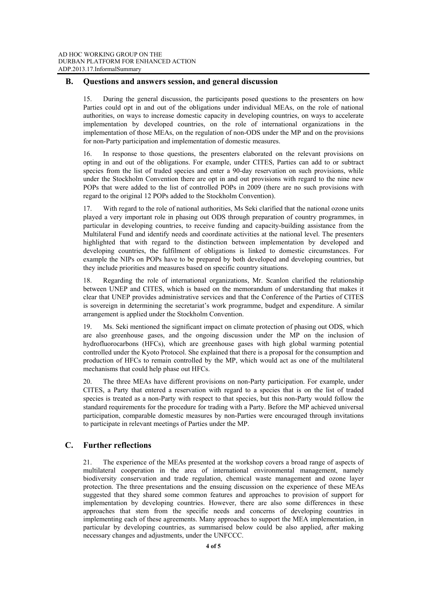#### **B. Questions and answers session, and general discussion**

15. During the general discussion, the participants posed questions to the presenters on how Parties could opt in and out of the obligations under individual MEAs, on the role of national authorities, on ways to increase domestic capacity in developing countries, on ways to accelerate implementation by developed countries, on the role of international organizations in the implementation of those MEAs, on the regulation of non-ODS under the MP and on the provisions for non-Party participation and implementation of domestic measures.

16. In response to those questions, the presenters elaborated on the relevant provisions on opting in and out of the obligations. For example, under CITES, Parties can add to or subtract species from the list of traded species and enter a 90-day reservation on such provisions, while under the Stockholm Convention there are opt in and out provisions with regard to the nine new POPs that were added to the list of controlled POPs in 2009 (there are no such provisions with regard to the original 12 POPs added to the Stockholm Convention).

17. With regard to the role of national authorities, Ms Seki clarified that the national ozone units played a very important role in phasing out ODS through preparation of country programmes, in particular in developing countries, to receive funding and capacity-building assistance from the Multilateral Fund and identify needs and coordinate activities at the national level. The presenters highlighted that with regard to the distinction between implementation by developed and developing countries, the fulfilment of obligations is linked to domestic circumstances. For example the NIPs on POPs have to be prepared by both developed and developing countries, but they include priorities and measures based on specific country situations.

18. Regarding the role of international organizations, Mr. Scanlon clarified the relationship between UNEP and CITES, which is based on the memorandum of understanding that makes it clear that UNEP provides administrative services and that the Conference of the Parties of CITES is sovereign in determining the secretariat's work programme, budget and expenditure. A similar arrangement is applied under the Stockholm Convention.

19. Ms. Seki mentioned the significant impact on climate protection of phasing out ODS, which are also greenhouse gases, and the ongoing discussion under the MP on the inclusion of hydrofluorocarbons (HFCs), which are greenhouse gases with high global warming potential controlled under the Kyoto Protocol. She explained that there is a proposal for the consumption and production of HFCs to remain controlled by the MP, which would act as one of the multilateral mechanisms that could help phase out HFCs.

20. The three MEAs have different provisions on non-Party participation. For example, under CITES, a Party that entered a reservation with regard to a species that is on the list of traded species is treated as a non-Party with respect to that species, but this non-Party would follow the standard requirements for the procedure for trading with a Party. Before the MP achieved universal participation, comparable domestic measures by non-Parties were encouraged through invitations to participate in relevant meetings of Parties under the MP.

#### **C. Further reflections**

21. The experience of the MEAs presented at the workshop covers a broad range of aspects of multilateral cooperation in the area of international environmental management, namely biodiversity conservation and trade regulation, chemical waste management and ozone layer protection. The three presentations and the ensuing discussion on the experience of these MEAs suggested that they shared some common features and approaches to provision of support for implementation by developing countries. However, there are also some differences in these approaches that stem from the specific needs and concerns of developing countries in implementing each of these agreements. Many approaches to support the MEA implementation, in particular by developing countries, as summarised below could be also applied, after making necessary changes and adjustments, under the UNFCCC.